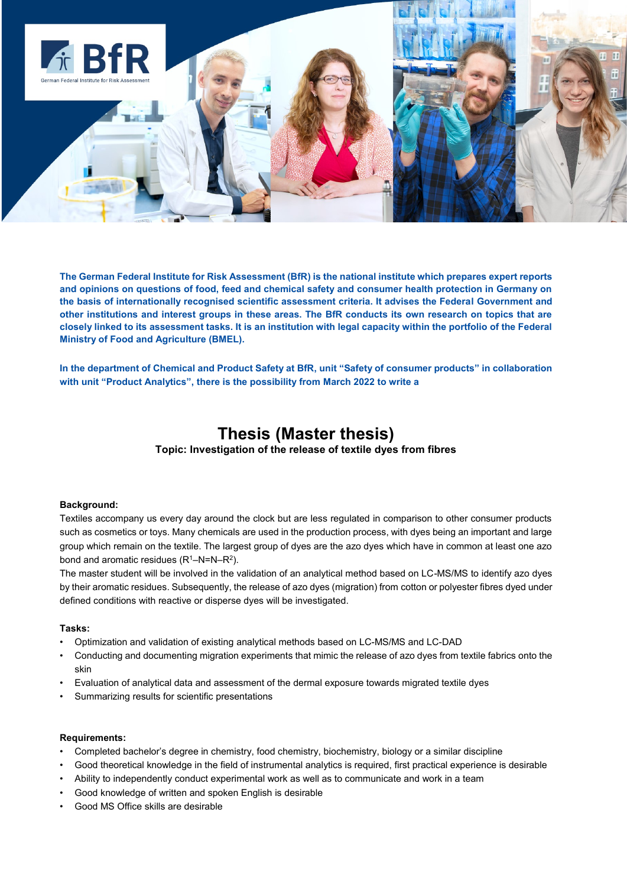

**The German Federal Institute for Risk Assessment (BfR) is the national institute which prepares expert reports and opinions on questions of food, feed and chemical safety and consumer health protection in Germany on the basis of internationally recognised scientific assessment criteria. It advises the Federal Government and other institutions and interest groups in these areas. The BfR conducts its own research on topics that are closely linked to its assessment tasks. It is an institution with legal capacity within the portfolio of the Federal Ministry of Food and Agriculture (BMEL).**

**In the department of Chemical and Product Safety at BfR, unit "Safety of consumer products" in collaboration with unit "Product Analytics", there is the possibility from March 2022 to write a** 

## **Thesis (Master thesis)**

**Topic: Investigation of the release of textile dyes from fibres**

## **Background:**

Textiles accompany us every day around the clock but are less regulated in comparison to other consumer products such as cosmetics or toys. Many chemicals are used in the production process, with dyes being an important and large group which remain on the textile. The largest group of dyes are the azo dyes which have in common at least one azo bond and aromatic residues  $(R^1-N=N-R^2)$ .

The master student will be involved in the validation of an analytical method based on LC-MS/MS to identify azo dyes by their aromatic residues. Subsequently, the release of azo dyes (migration) from cotton or polyester fibres dyed under defined conditions with reactive or disperse dyes will be investigated.

## **Tasks:**

- Optimization and validation of existing analytical methods based on LC-MS/MS and LC-DAD
- Conducting and documenting migration experiments that mimic the release of azo dyes from textile fabrics onto the skin
- Evaluation of analytical data and assessment of the dermal exposure towards migrated textile dyes
- Summarizing results for scientific presentations

## **Requirements:**

- Completed bachelor's degree in chemistry, food chemistry, biochemistry, biology or a similar discipline
- Good theoretical knowledge in the field of instrumental analytics is required, first practical experience is desirable
- Ability to independently conduct experimental work as well as to communicate and work in a team
- Good knowledge of written and spoken English is desirable
- Good MS Office skills are desirable